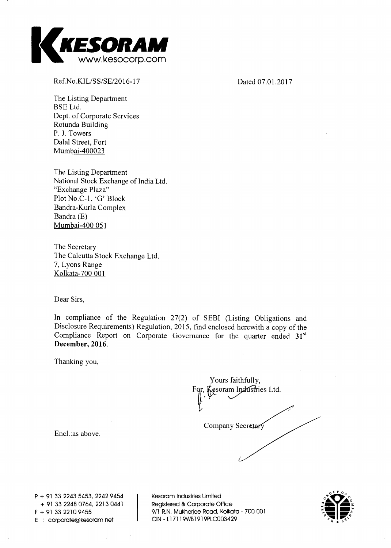

**Ref.No.KIL/SS/SE/2016-17 Dated 07.01.2017** 

**The Listing Department BSE Ltd. Dept. of Corporate Services Rotunda Building P. J. Towers Dalal Street, Fort Mumbai-400023** 

**The Listing Department National Stock Exchange of India Ltd. "Exchange Plaza" Plot No.C-1, `G.' Block Bandra-Kurla Complex Bandra (E) Mumbai-400 051** 

**The Secretary The Calcutta Stock Exchange Ltd. 7, Lyons Range Kolkata-700 001** 

**Dear Sirs,** 

**In compliance of the Regulation 27(2) of SEBI (Listing Obligations and Disclosure Requirements) Regulation, 2015, find enclosed herewith a copy of the**  Compliance Report on Corporate Governance for the quarter ended 31<sup>st</sup> December, 2016.

**Thanking you,** 

| Yours faithfully,<br><i>k</i> esoram Industries Ltd.<br>For, K |  |
|----------------------------------------------------------------|--|
| Company Secretary                                              |  |
|                                                                |  |

**Encl.:as above.** 

**P + 91 33 2243 5453, 2242 9454 + 91 33 2248 0764, 2213 0441 E corporate@kesoram.net CIN - Ll 7119WB1919PLC003429** 

**Kesoram Industries Limited Registered & Corporate Office F + 91 33 2210 9455 9/1 R.N. Mukherjee Road, Kolkata - 700 001** 

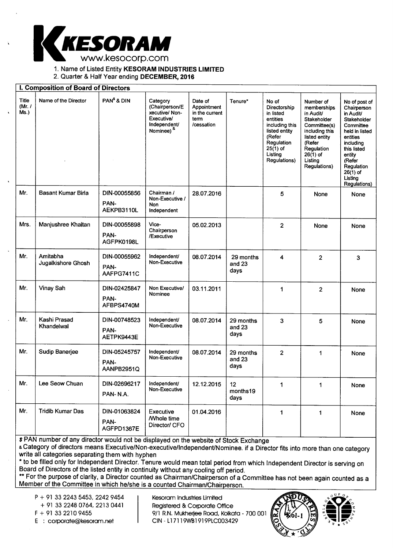

1. Name of Listed Entity **KESORAM INDUSTRIES LIMITED** 

2. Quarter & Half Year ending **DECEMBER, 2016** 

|                           | I. Composition of Board of Directors |                                    |                                                                                                        |                                                               |                             |                                                                                                                                                    |                                                                                                                                                                          |                                                                                                                                                                                                                   |
|---------------------------|--------------------------------------|------------------------------------|--------------------------------------------------------------------------------------------------------|---------------------------------------------------------------|-----------------------------|----------------------------------------------------------------------------------------------------------------------------------------------------|--------------------------------------------------------------------------------------------------------------------------------------------------------------------------|-------------------------------------------------------------------------------------------------------------------------------------------------------------------------------------------------------------------|
| Title<br>(Mr. $/$<br>Ms.) | Name of the Director                 | PAN <sup>\$</sup> & DIN            | Category<br>(Chairperson/E<br>xecutive/Non-<br>Executive/<br>Independent/<br>Nominee) <sup>&amp;</sup> | Date of<br>Appointment<br>in the current<br>tem<br>/cessation | Tenure*                     | No of<br>Directorship<br>in listed<br>entities<br>including this<br>listed entity<br>(Refer<br>Regulation<br>$25(1)$ of<br>Listing<br>Regulations) | Number of<br>memberships<br>in Audit/<br>Stakeholder<br>Committee(s)<br>including this<br>listed entity<br>(Refer<br>Regulation<br>$26(1)$ of<br>Listing<br>Regulations) | No of post of<br>Chairperson<br>in Audit/<br>Stakeholder<br>Committee<br>held in listed<br>entities<br>including<br>this listed<br>entity<br>(Refer<br>Regulation<br>$26(1)$ of<br>Listing<br><b>Regulations)</b> |
| Mr.                       | <b>Basant Kumar Birla</b>            | DIN-00055856<br>PAN-<br>AEKPB3110L | Chairman /<br>Non-Executive /<br>Non<br>Independent                                                    | 28.07.2016                                                    |                             | 5                                                                                                                                                  | None                                                                                                                                                                     | None                                                                                                                                                                                                              |
| Mrs.                      | Manjushree Khaitan                   | DIN-00055898<br>PAN-<br>AGFPK0198L | Vice-<br>Chairperson<br>/Executive                                                                     | 05.02.2013                                                    |                             | $\mathbf{2}$                                                                                                                                       | None                                                                                                                                                                     | None                                                                                                                                                                                                              |
| Mr.                       | Amitabha<br>Jugalkishore Ghosh       | DIN-00055962<br>PAN-<br>AAFPG7411C | Independent/<br>Non-Executive                                                                          | 08.07.2014                                                    | 29 months<br>and 23<br>days | 4                                                                                                                                                  | $\overline{2}$                                                                                                                                                           | 3                                                                                                                                                                                                                 |
| Mr.                       | Vinay Sah                            | DIN-02425847<br>PAN-<br>AFBPS4740M | Non Executive/<br>Nominee                                                                              | 03.11.2011                                                    |                             | 1                                                                                                                                                  | $\overline{2}$                                                                                                                                                           | None                                                                                                                                                                                                              |
| Mr.                       | Kashi Prasad<br>Khandelwal           | DIN-00748523<br>PAN-<br>AETPK9443E | Independent/<br>Non-Executive                                                                          | 08.07.2014                                                    | 29 months<br>and 23<br>days | 3                                                                                                                                                  | 5                                                                                                                                                                        | None                                                                                                                                                                                                              |
| Mr.                       | Sudip Banerjee                       | DIN-05245757<br>PAN-<br>AANPB2951Q | Independent/<br>Non-Executive                                                                          | 08.07.2014                                                    | 29 months<br>and 23<br>days | $\overline{2}$                                                                                                                                     | 1                                                                                                                                                                        | None                                                                                                                                                                                                              |
| Mr.                       | Lee Seow Chuan                       | DIN-02696217<br>PAN-N.A.           | Independent/<br>Non-Executive                                                                          | 12.12.2015                                                    | 12<br>months19<br>days      | 1                                                                                                                                                  | 1                                                                                                                                                                        | None                                                                                                                                                                                                              |
| Mr.                       | <b>Tridib Kumar Das</b>              | DIN-01063824<br>PAN-<br>AGFPD1367E | Executive<br><b><i>Mhole</i></b> time<br>Director/ CFO                                                 | 01.04.2016                                                    |                             | $\mathbf{1}$                                                                                                                                       | 1                                                                                                                                                                        | None                                                                                                                                                                                                              |

\$ PAN number of any director would not be displayed on the website of Stock Exchange

& Category of directors means Executive/Non-executive/Independent/Nominee. if a Director fits into more than one category write all categories separating them with hyphen

\* to be filled only for Independent Director. Tenure would mean total period from which Independent Director is serving on Board of Directors of the listed entity in continuity without any cooling off period.

\*\* For the purpose of clarity, a Director counted as Chairman/Chairperson of a Committee has not been again counted as a Member of the Committee in which he/she is a counted Chairman/Chairperson.

P + 91 33 2243 5453, 2242 9454

Kesoram Industries Limited

+ 91 33 2248 0764, 2213 0441

Registered & Corporate Office F + 91 33 2210 9455 9/1 R.N. Mukherjee Road, Kolkata - 700 001 E : corporate@kesoram.net CIN - Ll 7119WB1919PLC003429



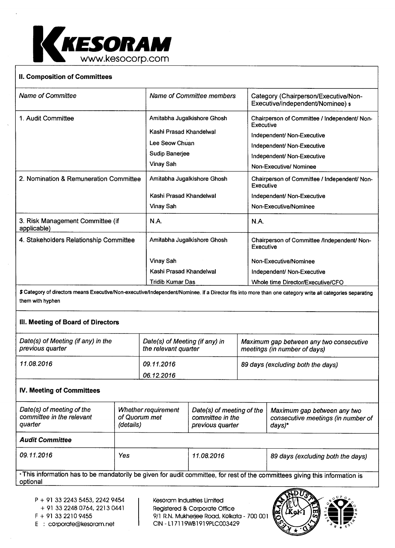

## **II. Composition of Committees**

| <b>Name of Committee</b>                        | Name of Committee members                                                                               | Category (Chairperson/Executive/Non-<br>Executive/independent/Nominee) \$                                                                                                     |
|-------------------------------------------------|---------------------------------------------------------------------------------------------------------|-------------------------------------------------------------------------------------------------------------------------------------------------------------------------------|
| 1. Audit Committee                              | Amitabha Jugalkishore Ghosh<br>Kashi Prasad Khandelwal<br>Lee Seow Chuan<br>Sudip Banerjee<br>Vinay Sah | Chairperson of Committee / Independent/ Non-<br>Executive<br>Independent/ Non-Executive<br>Independent/ Non-Executive<br>Independent/ Non-Executive<br>Non-Executive/ Nominee |
| 2. Nomination & Remuneration Committee          | Amitabha Jugalkishore Ghosh<br>Kashi Prasad Khandelwal<br>Vinay Sah                                     | Chairperson of Committee / Independent/ Non-<br>Executive<br>Independent/ Non-Executive<br>Non-Executive/Nominee                                                              |
| 3. Risk Management Committee (if<br>applicable) | <b>N.A.</b>                                                                                             | N.A.                                                                                                                                                                          |
| 4. Stakeholders Relationship Committee          | Amitabha Jugalkishore Ghosh                                                                             | Chairperson of Committee /Independent/ Non-<br>Executive                                                                                                                      |
|                                                 | Vinay Sah                                                                                               | Non-Executive/Nominee                                                                                                                                                         |
|                                                 | Kashi Prasad Khandelwal                                                                                 | Independent/ Non-Executive                                                                                                                                                    |
|                                                 | <b>Tridib Kumar Das</b>                                                                                 | Whole time Director/Executive/CFO                                                                                                                                             |

\$ Category of directors means Executive/Non-executive/Independent/Nominee. if a Director fits into more than one category write all categories separating them with hyphen

## **III. Meeting of Board of Directors**

| Date(s) of Meeting (if any) in the<br>previous quarter | Date(s) of Meeting (if any) in<br>the relevant quarter | Maximum gap between any two consecutive<br>meetings (in number of days) |
|--------------------------------------------------------|--------------------------------------------------------|-------------------------------------------------------------------------|
| 11.08.2016                                             | 09.11.2016                                             | 89 days (excluding both the days)                                       |
|                                                        | 06.12.2016                                             |                                                                         |

# **IV. Meeting of Committees**

| Date(s) of meeting of the<br>committee in the relevant<br>quarter | Whether requirement<br>of Quorum met<br>(details) | Date(s) of meeting of the<br>committee in the<br>previous quarter | Maximum gap between any two<br>consecutive meetings (in number of<br>days)* |
|-------------------------------------------------------------------|---------------------------------------------------|-------------------------------------------------------------------|-----------------------------------------------------------------------------|
| <b>Audit Committee</b>                                            |                                                   |                                                                   |                                                                             |
| 09.11.2016                                                        | Yes                                               | 11.08.2016                                                        | 89 days (excluding both the days)                                           |

•This information has to be mandatorily be given for audit committee, for rest of the committees giving this information is optional

- P + 91 33 2243 5453, 2242 9454
- + 91 33 2248 0764, 2213 0441

Kesoram Industries Limited Registered & Corporate Office F + 91 33 2210 9455 9/1 R.N. Mukherjee Road, Kolkata - 700 001 E : corporate@kesoram.net CIN - Ll 7119WB1919PLC003429